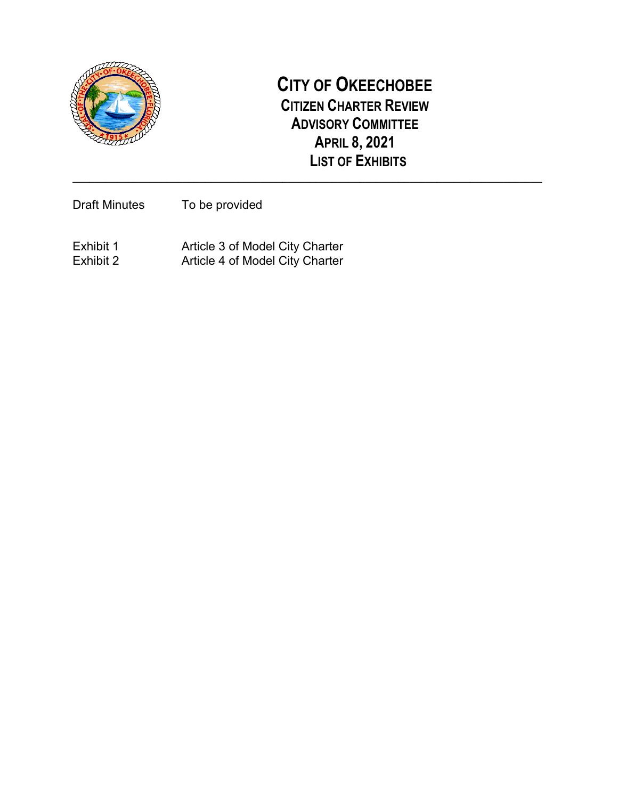

### **CITY OF OKEECHOBEE CITIZEN CHARTER REVIEW ADVISORY COMMITTEE APRIL 8, 2021 LIST OF EXHIBITS**

**\_\_\_\_\_\_\_\_\_\_\_\_\_\_\_\_\_\_\_\_\_\_\_\_\_\_\_\_\_\_\_\_\_\_\_\_\_\_\_\_\_\_\_\_\_\_\_\_\_\_\_\_\_\_\_\_\_\_\_\_\_\_\_\_\_\_\_\_\_\_\_\_\_\_\_\_\_\_\_\_\_\_\_\_\_**

Draft Minutes To be provided

Exhibit 1 Exhibit 1 Article 3 of Model City Charter Exhibit 2 Article 4 of Model City Charter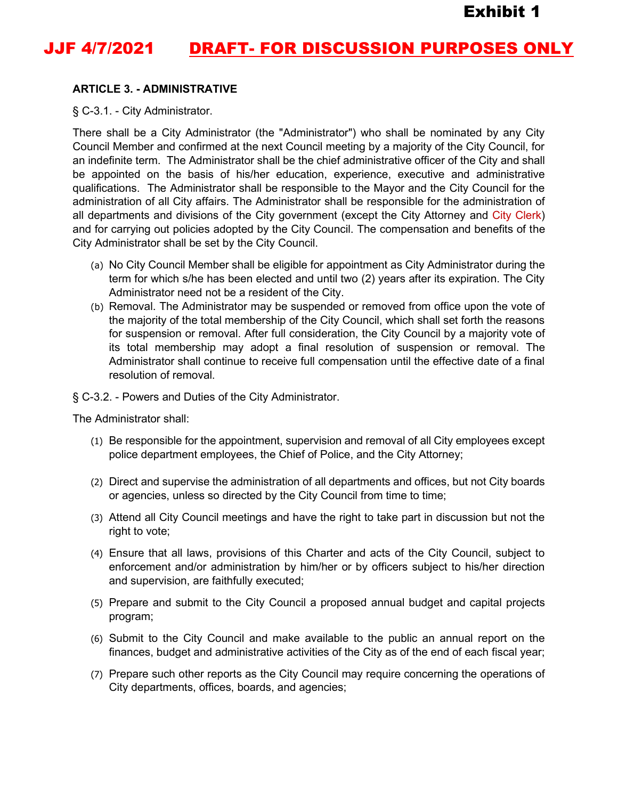## **JJF 4/7/2021 DRAFT- FOR DISCUSSION PURPOSES ONLY**

#### **ARTICLE 3. - ADMINISTRATIVE**

§ C-3.1. - City Administrator.

There shall be a City Administrator (the "Administrator") who shall be nominated by any City Council Member and confirmed at the next Council meeting by a majority of the City Council, for an indefinite term. The Administrator shall be the chief administrative officer of the City and shall be appointed on the basis of his/her education, experience, executive and administrative qualifications. The Administrator shall be responsible to the Mayor and the City Council for the administration of all City affairs. The Administrator shall be responsible for the administration of all departments and divisions of the City government (except the City Attorney and City Clerk) and for carrying out policies adopted by the City Council. The compensation and benefits of the City Administrator shall be set by the City Council.

- (a) No City Council Member shall be eligible for appointment as City Administrator during the term for which s/he has been elected and until two (2) years after its expiration. The City Administrator need not be a resident of the City.
- (b) Removal. The Administrator may be suspended or removed from office upon the vote of the majority of the total membership of the City Council, which shall set forth the reasons for suspension or removal. After full consideration, the City Council by a majority vote of its total membership may adopt a final resolution of suspension or removal. The Administrator shall continue to receive full compensation until the effective date of a final resolution of removal.

#### § C-3.2. - Powers and Duties of the City Administrator.

The Administrator shall:

- (1) Be responsible for the appointment, supervision and removal of all City employees except police department employees, the Chief of Police, and the City Attorney;
- (2) Direct and supervise the administration of all departments and offices, but not City boards or agencies, unless so directed by the City Council from time to time;
- (3) Attend all City Council meetings and have the right to take part in discussion but not the right to vote;
- (4) Ensure that all laws, provisions of this Charter and acts of the City Council, subject to enforcement and/or administration by him/her or by officers subject to his/her direction and supervision, are faithfully executed;
- (5) Prepare and submit to the City Council a proposed annual budget and capital projects program;
- (6) Submit to the City Council and make available to the public an annual report on the finances, budget and administrative activities of the City as of the end of each fiscal year;
- (7) Prepare such other reports as the City Council may require concerning the operations of City departments, offices, boards, and agencies;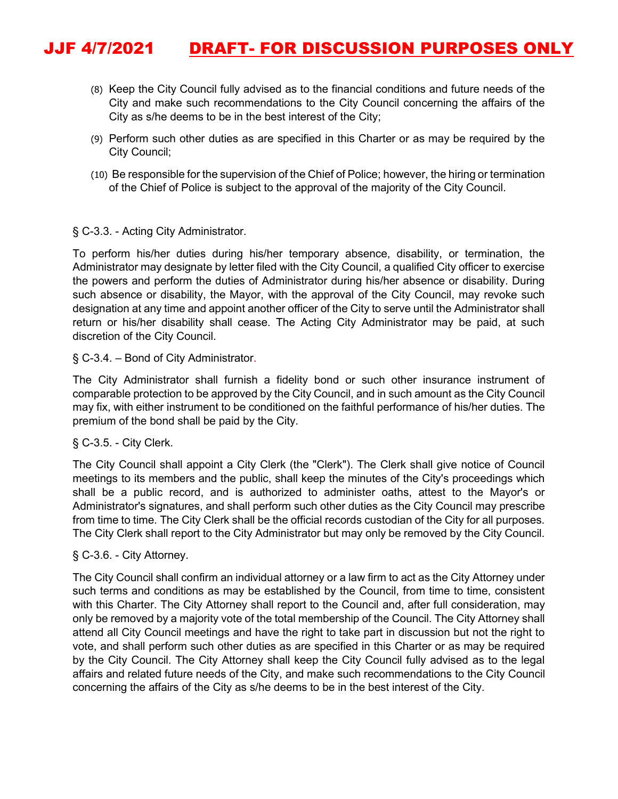## JJF 4/7/2021 DRAFT- FOR DISCUSSION PURPOSES ONLY

- (8) Keep the City Council fully advised as to the financial conditions and future needs of the City and make such recommendations to the City Council concerning the affairs of the City as s/he deems to be in the best interest of the City;
- (9) Perform such other duties as are specified in this Charter or as may be required by the City Council;
- (10) Be responsible for the supervision of the Chief of Police; however, the hiring or termination of the Chief of Police is subject to the approval of the majority of the City Council.

#### § C-3.3. - Acting City Administrator.

To perform his/her duties during his/her temporary absence, disability, or termination, the Administrator may designate by letter filed with the City Council, a qualified City officer to exercise the powers and perform the duties of Administrator during his/her absence or disability. During such absence or disability, the Mayor, with the approval of the City Council, may revoke such designation at any time and appoint another officer of the City to serve until the Administrator shall return or his/her disability shall cease. The Acting City Administrator may be paid, at such discretion of the City Council.

#### § C-3.4. – Bond of City Administrator.

The City Administrator shall furnish a fidelity bond or such other insurance instrument of comparable protection to be approved by the City Council, and in such amount as the City Council may fix, with either instrument to be conditioned on the faithful performance of his/her duties. The premium of the bond shall be paid by the City.

#### § C-3.5. - City Clerk.

The City Council shall appoint a City Clerk (the "Clerk"). The Clerk shall give notice of Council meetings to its members and the public, shall keep the minutes of the City's proceedings which shall be a public record, and is authorized to administer oaths, attest to the Mayor's or Administrator's signatures, and shall perform such other duties as the City Council may prescribe from time to time. The City Clerk shall be the official records custodian of the City for all purposes. The City Clerk shall report to the City Administrator but may only be removed by the City Council.

#### § C-3.6. - City Attorney.

The City Council shall confirm an individual attorney or a law firm to act as the City Attorney under such terms and conditions as may be established by the Council, from time to time, consistent with this Charter. The City Attorney shall report to the Council and, after full consideration, may only be removed by a majority vote of the total membership of the Council. The City Attorney shall attend all City Council meetings and have the right to take part in discussion but not the right to vote, and shall perform such other duties as are specified in this Charter or as may be required by the City Council. The City Attorney shall keep the City Council fully advised as to the legal affairs and related future needs of the City, and make such recommendations to the City Council concerning the affairs of the City as s/he deems to be in the best interest of the City.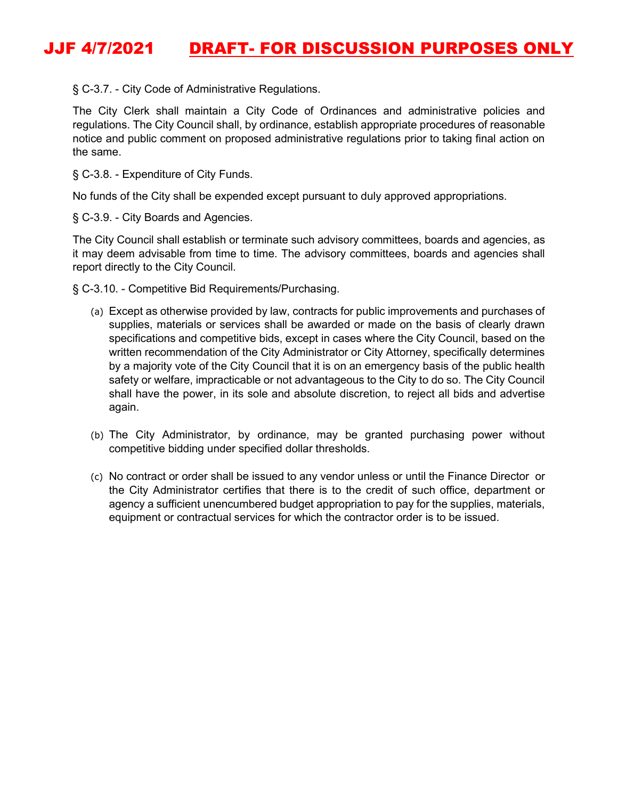## JJF 4/7/2021 DRAFT- FOR DISCUSSION PURPOSES ONLY

§ C-3.7. - City Code of Administrative Regulations.

The City Clerk shall maintain a City Code of Ordinances and administrative policies and regulations. The City Council shall, by ordinance, establish appropriate procedures of reasonable notice and public comment on proposed administrative regulations prior to taking final action on the same.

§ C-3.8. - Expenditure of City Funds.

No funds of the City shall be expended except pursuant to duly approved appropriations.

§ C-3.9. - City Boards and Agencies.

The City Council shall establish or terminate such advisory committees, boards and agencies, as it may deem advisable from time to time. The advisory committees, boards and agencies shall report directly to the City Council.

§ C-3.10. - Competitive Bid Requirements/Purchasing.

- (a) Except as otherwise provided by law, contracts for public improvements and purchases of supplies, materials or services shall be awarded or made on the basis of clearly drawn specifications and competitive bids, except in cases where the City Council, based on the written recommendation of the City Administrator or City Attorney, specifically determines by a majority vote of the City Council that it is on an emergency basis of the public health safety or welfare, impracticable or not advantageous to the City to do so. The City Council shall have the power, in its sole and absolute discretion, to reject all bids and advertise again.
- (b) The City Administrator, by ordinance, may be granted purchasing power without competitive bidding under specified dollar thresholds.
- (c) No contract or order shall be issued to any vendor unless or until the Finance Director or the City Administrator certifies that there is to the credit of such office, department or agency a sufficient unencumbered budget appropriation to pay for the supplies, materials, equipment or contractual services for which the contractor order is to be issued.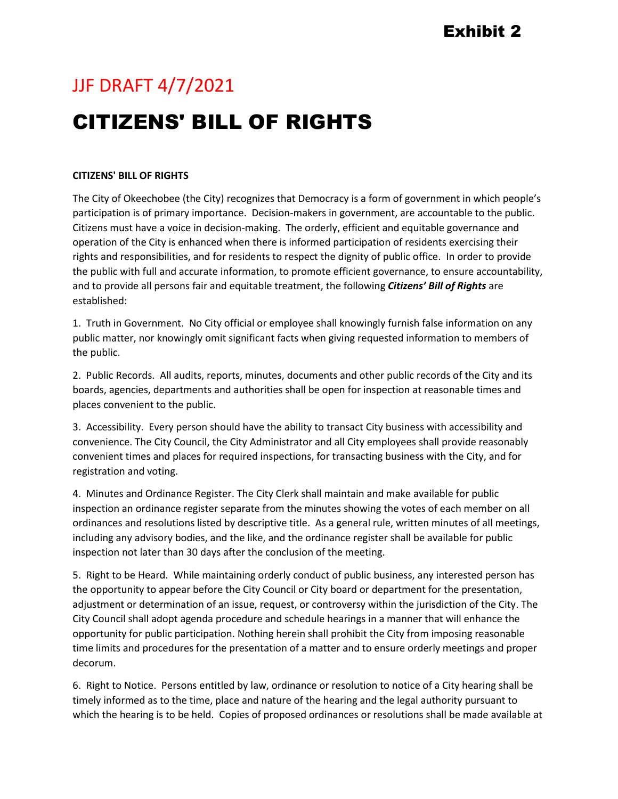## JJF DRAFT 4/7/2021

# CITIZENS' BILL OF RIGHTS

#### **CITIZENS' BILL OF RIGHTS**

The City of Okeechobee (the City) recognizes that Democracy is a form of government in which people's participation is of primary importance. Decision-makers in government, are accountable to the public. Citizens must have a voice in decision-making. The orderly, efficient and equitable governance and operation of the City is enhanced when there is informed participation of residents exercising their rights and responsibilities, and for residents to respect the dignity of public office. In order to provide the public with full and accurate information, to promote efficient governance, to ensure accountability, and to provide all persons fair and equitable treatment, the following *Citizens' Bill of Rights* are established:

1. Truth in Government. No City official or employee shall knowingly furnish false information on any public matter, nor knowingly omit significant facts when giving requested information to members of the public.

2. Public Records. All audits, reports, minutes, documents and other public records of the City and its boards, agencies, departments and authorities shall be open for inspection at reasonable times and places convenient to the public.

3. Accessibility. Every person should have the ability to transact City business with accessibility and convenience. The City Council, the City Administrator and all City employees shall provide reasonably convenient times and places for required inspections, for transacting business with the City, and for registration and voting.

4. Minutes and Ordinance Register. The City Clerk shall maintain and make available for public inspection an ordinance register separate from the minutes showing the votes of each member on all ordinances and resolutions listed by descriptive title. As a general rule, written minutes of all meetings, including any advisory bodies, and the like, and the ordinance register shall be available for public inspection not later than 30 days after the conclusion of the meeting.

5. Right to be Heard. While maintaining orderly conduct of public business, any interested person has the opportunity to appear before the City Council or City board or department for the presentation, adjustment or determination of an issue, request, or controversy within the jurisdiction of the City. The City Council shall adopt agenda procedure and schedule hearings in a manner that will enhance the opportunity for public participation. Nothing herein shall prohibit the City from imposing reasonable time limits and procedures for the presentation of a matter and to ensure orderly meetings and proper decorum.

6. Right to Notice. Persons entitled by law, ordinance or resolution to notice of a City hearing shall be timely informed as to the time, place and nature of the hearing and the legal authority pursuant to which the hearing is to be held. Copies of proposed ordinances or resolutions shall be made available at